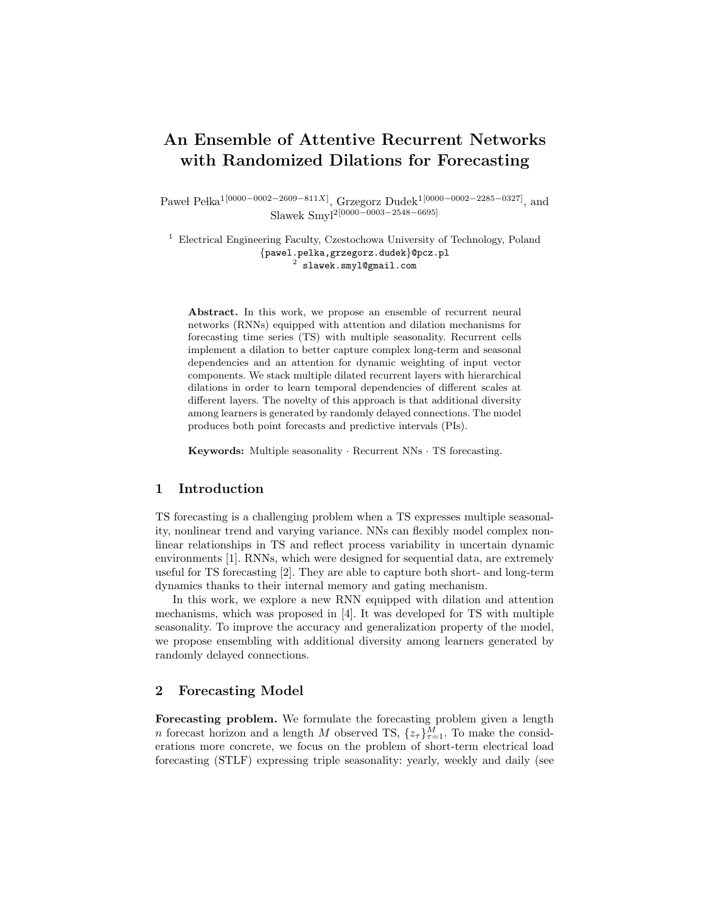# An Ensemble of Attentive Recurrent Networks with Randomized Dilations for Forecasting

Paweł Pełka<sup>1[0000–0002–2609–811X]</sup>, Grzegorz Dudek<sup>1[0000–0002–2285–0327]</sup>, and Slawek Smyl2[0000−0003−2548−6695]

<sup>1</sup> Electrical Engineering Faculty, Czestochowa University of Technology, Poland {pawel.pelka,grzegorz.dudek}@pcz.pl  $^2$  slawek.smyl@gmail.com

Abstract. In this work, we propose an ensemble of recurrent neural networks (RNNs) equipped with attention and dilation mechanisms for forecasting time series (TS) with multiple seasonality. Recurrent cells implement a dilation to better capture complex long-term and seasonal dependencies and an attention for dynamic weighting of input vector components. We stack multiple dilated recurrent layers with hierarchical dilations in order to learn temporal dependencies of different scales at different layers. The novelty of this approach is that additional diversity among learners is generated by randomly delayed connections. The model produces both point forecasts and predictive intervals (PIs).

Keywords: Multiple seasonality · Recurrent NNs · TS forecasting.

## 1 Introduction

TS forecasting is a challenging problem when a TS expresses multiple seasonality, nonlinear trend and varying variance. NNs can flexibly model complex nonlinear relationships in TS and reflect process variability in uncertain dynamic environments [1]. RNNs, which were designed for sequential data, are extremely useful for TS forecasting [2]. They are able to capture both short- and long-term dynamics thanks to their internal memory and gating mechanism.

In this work, we explore a new RNN equipped with dilation and attention mechanisms, which was proposed in [4]. It was developed for TS with multiple seasonality. To improve the accuracy and generalization property of the model, we propose ensembling with additional diversity among learners generated by randomly delayed connections.

# 2 Forecasting Model

Forecasting problem. We formulate the forecasting problem given a length *n* forecast horizon and a length *M* observed TS,  $\{z_{\tau}\}_{\tau=1}^{M}$ . To make the considerations more concrete, we focus on the problem of short-term electrical load forecasting (STLF) expressing triple seasonality: yearly, weekly and daily (see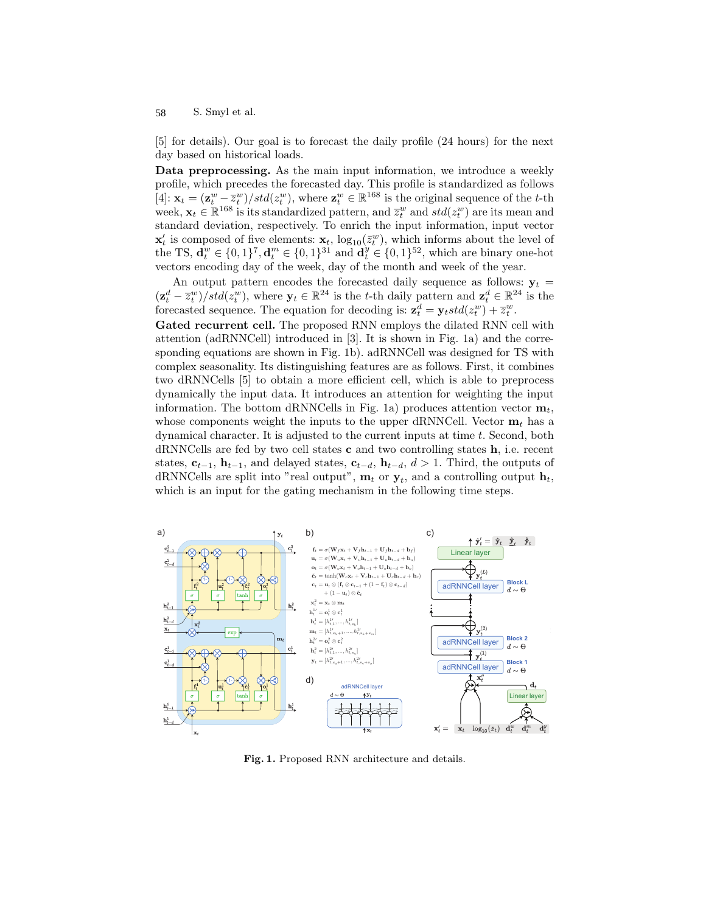S. Smyl et al. 58

[5] for details). Our goal is to forecast the daily profile (24 hours) for the next day based on historical loads.

Data preprocessing. As the main input information, we introduce a weekly profile, which precedes the forecasted day. This profile is standardized as follows [4]:  $\mathbf{x}_t = (\mathbf{z}_t^w - \overline{z}_t^w)/std(z_t^w)$ , where  $\mathbf{z}_t^w \in \mathbb{R}^{168}$  is the original sequence of the t-th week,  $\mathbf{x}_t \in \mathbb{R}^{168}$  is its standardized pattern, and  $\overline{z}_t^w$  and  $std(z_t^w)$  are its mean and standard deviation, respectively. To enrich the input information, input vector  $\mathbf{x}'_t$  is composed of five elements:  $\mathbf{x}_t$ ,  $\log_{10}(\bar{z}_t^w)$ , which informs about the level of the TS,  $\mathbf{d}_t^w \in \{0, 1\}^7, \mathbf{d}_t^m \in \{0, 1\}^{31}$  and  $\mathbf{d}_t^y \in \{0, 1\}^{52}$ , which are binary one-hot vectors encoding day of the week, day of the month and week of the year.

An output pattern encodes the forecasted daily sequence as follows:  $y_t =$  $(\mathbf{z}_t^d - \overline{z}_t^w)/std(z_t^w)$ , where  $\mathbf{y}_t \in \mathbb{R}^{24}$  is the t-th daily pattern and  $\mathbf{z}_t^d \in \mathbb{R}^{24}$  is the forecasted sequence. The equation for decoding is:  $\mathbf{z}_t^d = \mathbf{y}_t std(z_t^w) + \overline{z}_t^w$ .

Gated recurrent cell. The proposed RNN employs the dilated RNN cell with attention (adRNNCell) introduced in [3]. It is shown in Fig. 1a) and the corresponding equations are shown in Fig. 1b). adRNNCell was designed for TS with complex seasonality. Its distinguishing features are as follows. First, it combines two dRNNCells [5] to obtain a more efficient cell, which is able to preprocess dynamically the input data. It introduces an attention for weighting the input information. The bottom dRNNCells in Fig. 1a) produces attention vector  $\mathbf{m}_t$ , whose components weight the inputs to the upper dRNNCell. Vector  $\mathbf{m}_t$  has a dynamical character. It is adjusted to the current inputs at time t. Second, both dRNNCells are fed by two cell states c and two controlling states h, i.e. recent states,  $\mathbf{c}_{t-1}$ ,  $\mathbf{h}_{t-1}$ , and delayed states,  $\mathbf{c}_{t-d}$ ,  $\mathbf{h}_{t-d}$ ,  $d > 1$ . Third, the outputs of dRNNCells are split into "real output",  $\mathbf{m}_t$  or  $\mathbf{y}_t$ , and a controlling output  $\mathbf{h}_t$ , which is an input for the gating mechanism in the following time steps.



Fig. 1. Proposed RNN architecture and details.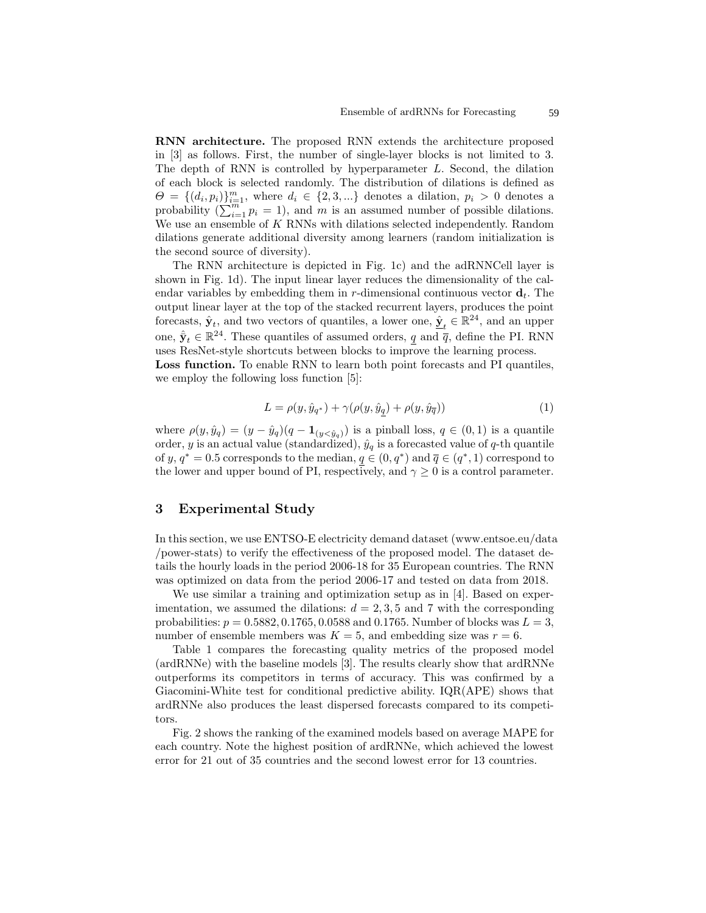RNN architecture. The proposed RNN extends the architecture proposed in [3] as follows. First, the number of single-layer blocks is not limited to 3. The depth of RNN is controlled by hyperparameter L. Second, the dilation of each block is selected randomly. The distribution of dilations is defined as  $\Theta = \{(d_i, p_i)\}_{i=1}^m$ , where  $d_i \in \{2, 3, ...\}$  denotes a dilation,  $p_i > 0$  denotes a probability  $(\sum_{i=1}^{m} p_i = 1)$ , and m is an assumed number of possible dilations. We use an ensemble of K RNNs with dilations selected independently. Random dilations generate additional diversity among learners (random initialization is the second source of diversity).

The RNN architecture is depicted in Fig. 1c) and the adRNNCell layer is shown in Fig. 1d). The input linear layer reduces the dimensionality of the calendar variables by embedding them in r-dimensional continuous vector  $\mathbf{d}_t$ . The output linear layer at the top of the stacked recurrent layers, produces the point forecasts,  $\hat{\mathbf{y}}_t$ , and two vectors of quantiles, a lower one,  $\hat{\mathbf{y}}_t \in \mathbb{R}^{24}$ , and an upper one,  $\hat{\mathbf{y}}_t \in \mathbb{R}^{24}$ . These quantiles of assumed orders,  $q$  and  $\bar{q}$ , define the PI. RNN uses ResNet-style shortcuts between blocks to improve the learning process.

Loss function. To enable RNN to learn both point forecasts and PI quantiles, we employ the following loss function [5]:

$$
L = \rho(y, \hat{y}_{q^*}) + \gamma(\rho(y, \hat{y}_q) + \rho(y, \hat{y}_{\overline{q}}))
$$
\n(1)

where  $\rho(y, \hat{y}_q) = (y - \hat{y}_q)(q - \mathbf{1}_{(y < \hat{y}_q)})$  is a pinball loss,  $q \in (0, 1)$  is a quantile order, y is an actual value (standardized),  $\hat{y}_q$  is a forecasted value of q-th quantile of y,  $q^* = 0.5$  corresponds to the median,  $q \in (0, q^*)$  and  $\overline{q} \in (q^*, 1)$  correspond to the lower and upper bound of PI, respectively, and  $\gamma \geq 0$  is a control parameter.

# 3 Experimental Study

In this section, we use ENTSO-E electricity demand dataset (www.entsoe.eu/data /power-stats) to verify the effectiveness of the proposed model. The dataset details the hourly loads in the period 2006-18 for 35 European countries. The RNN was optimized on data from the period 2006-17 and tested on data from 2018.

We use similar a training and optimization setup as in [4]. Based on experimentation, we assumed the dilations:  $d = 2, 3, 5$  and 7 with the corresponding probabilities:  $p = 0.5882, 0.1765, 0.0588$  and 0.1765. Number of blocks was  $L = 3$ , number of ensemble members was  $K = 5$ , and embedding size was  $r = 6$ .

Table 1 compares the forecasting quality metrics of the proposed model (ardRNNe) with the baseline models [3]. The results clearly show that ardRNNe outperforms its competitors in terms of accuracy. This was confirmed by a Giacomini-White test for conditional predictive ability. IQR(APE) shows that ardRNNe also produces the least dispersed forecasts compared to its competitors.

Fig. 2 shows the ranking of the examined models based on average MAPE for each country. Note the highest position of ardRNNe, which achieved the lowest error for 21 out of 35 countries and the second lowest error for 13 countries.